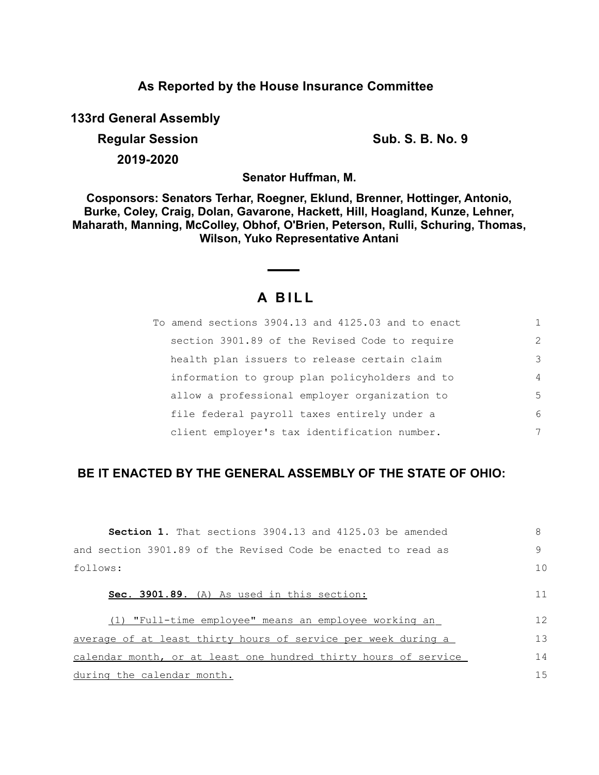## **As Reported by the House Insurance Committee**

**133rd General Assembly**

**Regular Session Sub. S. B. No. 9 Sub. S. B. No. 9 2019-2020**

**Senator Huffman, M.**

**Cosponsors: Senators Terhar, Roegner, Eklund, Brenner, Hottinger, Antonio, Burke, Coley, Craig, Dolan, Gavarone, Hackett, Hill, Hoagland, Kunze, Lehner, Maharath, Manning, McColley, Obhof, O'Brien, Peterson, Rulli, Schuring, Thomas, Wilson, Yuko Representative Antani**

# **A B I L L**

| To amend sections 3904.13 and 4125.03 and to enact |               |
|----------------------------------------------------|---------------|
| section 3901.89 of the Revised Code to require     | $\mathcal{L}$ |
| health plan issuers to release certain claim       | 3             |
| information to group plan policyholders and to     | 4             |
| allow a professional employer organization to      | 5             |
| file federal payroll taxes entirely under a        | 6             |
| client employer's tax identification number.       | 7             |

# **BE IT ENACTED BY THE GENERAL ASSEMBLY OF THE STATE OF OHIO:**

| <b>Section 1.</b> That sections 3904.13 and 4125.03 be amended  | 8  |
|-----------------------------------------------------------------|----|
| and section 3901.89 of the Revised Code be enacted to read as   | 9  |
| follows:                                                        | 10 |
| Sec. 3901.89. (A) As used in this section:                      | 11 |
| (1) "Full-time employee" means an employee working an           | 12 |
| average of at least thirty hours of service per week during a   | 13 |
| calendar month, or at least one hundred thirty hours of service | 14 |
| during the calendar month.                                      | 15 |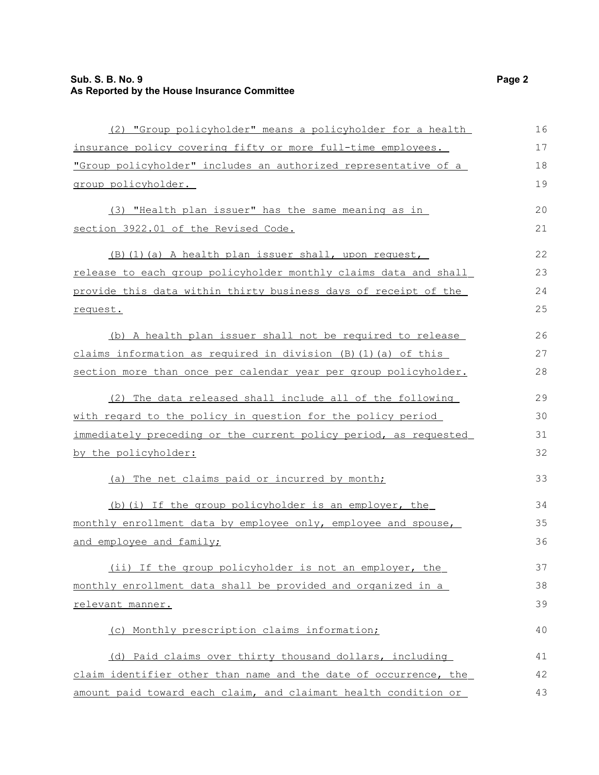### **Sub. S. B. No. 9 Page 2 As Reported by the House Insurance Committee**

| (2) "Group policyholder" means a policyholder for a health           | 16 |
|----------------------------------------------------------------------|----|
| insurance policy covering fifty or more full-time employees.         | 17 |
| "Group policyholder" includes an authorized representative of a      | 18 |
| group policyholder.                                                  | 19 |
| (3) "Health plan issuer" has the same meaning as in                  | 20 |
| section 3922.01 of the Revised Code.                                 | 21 |
| (B) (1) (a) A health plan issuer shall, upon request,                | 22 |
| release to each group policyholder monthly claims data and shall     | 23 |
| provide this data within thirty business days of receipt of the      | 24 |
| request.                                                             | 25 |
| (b) A health plan issuer shall not be required to release            | 26 |
| claims information as required in division $(B)$ $(1)$ $(a)$ of this | 27 |
| section more than once per calendar year per group policyholder.     | 28 |
| (2) The data released shall include all of the following             | 29 |
| with regard to the policy in question for the policy period          | 30 |
| immediately preceding or the current policy period, as requested     | 31 |
| by the policyholder:                                                 | 32 |
| (a) The net claims paid or incurred by month;                        | 33 |
| (b) (i) If the group policyholder is an employer, the                | 34 |
| monthly enrollment data by employee only, employee and spouse,       | 35 |
| and employee and family;                                             | 36 |
| (ii) If the group policyholder is not an employer, the               | 37 |
| monthly enrollment data shall be provided and organized in a         | 38 |
| relevant manner.                                                     | 39 |
| (c) Monthly prescription claims information;                         | 40 |
| (d) Paid claims over thirty thousand dollars, including              | 41 |
| claim identifier other than name and the date of occurrence, the     | 42 |
| amount paid toward each claim, and claimant health condition or      | 43 |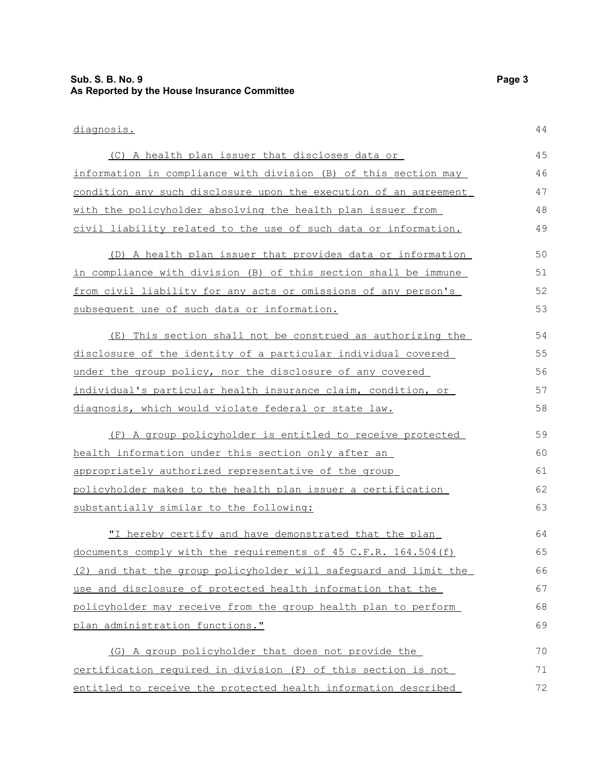### **Sub. S. B. No. 9 Page 3 As Reported by the House Insurance Committee**

diagnosis.

| (C) A health plan issuer that discloses data or                  | 45 |
|------------------------------------------------------------------|----|
| information in compliance with division (B) of this section may  | 46 |
| condition any such disclosure upon the execution of an agreement | 47 |
| with the policyholder absolving the health plan issuer from      | 48 |
| civil liability related to the use of such data or information.  | 49 |
| (D) A health plan issuer that provides data or information       | 50 |
| in compliance with division (B) of this section shall be immune  | 51 |
| from civil liability for any acts or omissions of any person's   | 52 |
| subsequent use of such data or information.                      | 53 |
| This section shall not be construed as authorizing the<br>(E)    | 54 |
| disclosure of the identity of a particular individual covered    | 55 |
| under the group policy, nor the disclosure of any covered        | 56 |
| individual's particular health insurance claim, condition, or    | 57 |
| diagnosis, which would violate federal or state law.             | 58 |
| (F) A group policyholder is entitled to receive protected        | 59 |
| health information under this section only after an              | 60 |
| appropriately authorized representative of the group             | 61 |
| policyholder makes to the health plan issuer a certification     | 62 |
| substantially similar to the following:                          | 63 |
| "I hereby certify and have demonstrated that the plan            | 64 |
| documents comply with the requirements of 45 C.F.R. 164.504 (f)  | 65 |
| (2) and that the group policyholder will safeguard and limit the | 66 |
| use and disclosure of protected health information that the      | 67 |
| policyholder may receive from the group health plan to perform   | 68 |
| plan administration functions."                                  | 69 |
| (G) A group policyholder that does not provide the               | 70 |
| certification required in division (F) of this section is not    | 71 |
| entitled to receive the protected health information described   | 72 |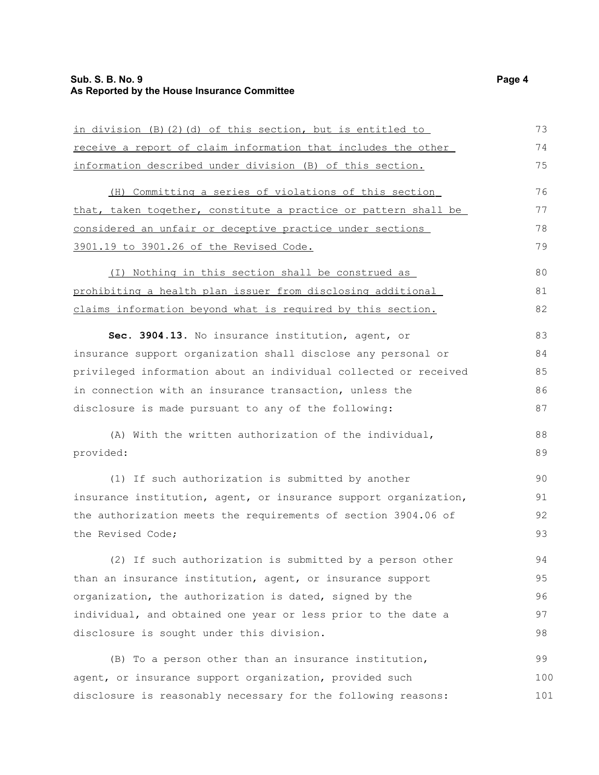### **Sub. S. B. No. 9 Page 4 As Reported by the House Insurance Committee**

| in division (B) (2) (d) of this section, but is entitled to      | 73  |
|------------------------------------------------------------------|-----|
| receive a report of claim information that includes the other    | 74  |
| information described under division (B) of this section.        | 75  |
| (H) Committing a series of violations of this section            | 76  |
| that, taken together, constitute a practice or pattern shall be  | 77  |
| considered an unfair or deceptive practice under sections        | 78  |
| 3901.19 to 3901.26 of the Revised Code.                          | 79  |
| (I) Nothing in this section shall be construed as                | 80  |
| prohibiting a health plan issuer from disclosing additional      | 81  |
| claims information beyond what is required by this section.      | 82  |
| Sec. 3904.13. No insurance institution, agent, or                | 83  |
| insurance support organization shall disclose any personal or    | 84  |
| privileged information about an individual collected or received | 85  |
| in connection with an insurance transaction, unless the          | 86  |
| disclosure is made pursuant to any of the following:             | 87  |
| (A) With the written authorization of the individual,            | 88  |
| provided:                                                        | 89  |
| (1) If such authorization is submitted by another                | 90  |
| insurance institution, agent, or insurance support organization, | 91  |
| the authorization meets the requirements of section 3904.06 of   | 92  |
| the Revised Code;                                                | 93  |
| (2) If such authorization is submitted by a person other         | 94  |
| than an insurance institution, agent, or insurance support       | 95  |
| organization, the authorization is dated, signed by the          | 96  |
| individual, and obtained one year or less prior to the date a    | 97  |
| disclosure is sought under this division.                        | 98  |
| (B) To a person other than an insurance institution,             | 99  |
| agent, or insurance support organization, provided such          | 100 |
| disclosure is reasonably necessary for the following reasons:    | 101 |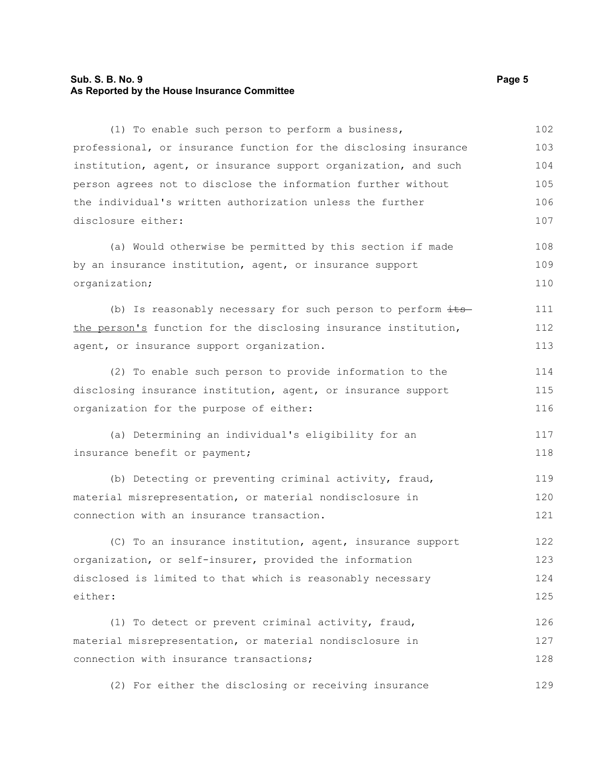#### **Sub. S. B. No. 9 Page 5 As Reported by the House Insurance Committee**

connection with insurance transactions;

(1) To enable such person to perform a business, professional, or insurance function for the disclosing insurance institution, agent, or insurance support organization, and such person agrees not to disclose the information further without the individual's written authorization unless the further disclosure either: (a) Would otherwise be permitted by this section if made by an insurance institution, agent, or insurance support organization; (b) Is reasonably necessary for such person to perform  $\pm t$ s the person's function for the disclosing insurance institution, agent, or insurance support organization. (2) To enable such person to provide information to the disclosing insurance institution, agent, or insurance support organization for the purpose of either: (a) Determining an individual's eligibility for an insurance benefit or payment; (b) Detecting or preventing criminal activity, fraud, material misrepresentation, or material nondisclosure in connection with an insurance transaction. (C) To an insurance institution, agent, insurance support organization, or self-insurer, provided the information disclosed is limited to that which is reasonably necessary either: (1) To detect or prevent criminal activity, fraud, material misrepresentation, or material nondisclosure in 102 103 104 105 106 107 108 109 110 111 112 113 114 115 116 117 118 119 120 121 122 123 124 125 126 127

(2) For either the disclosing or receiving insurance 129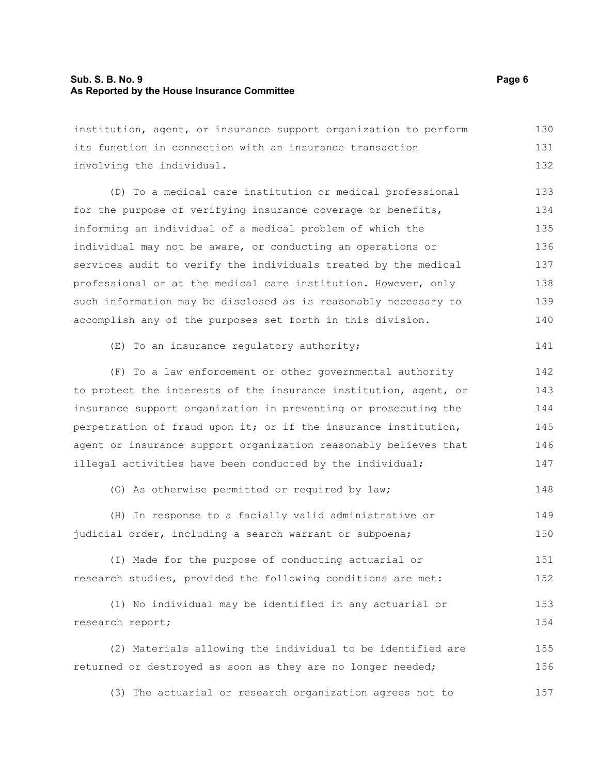#### **Sub. S. B. No. 9 Page 6 As Reported by the House Insurance Committee**

institution, agent, or insurance support organization to perform its function in connection with an insurance transaction involving the individual. 130 131 132

(D) To a medical care institution or medical professional for the purpose of verifying insurance coverage or benefits, informing an individual of a medical problem of which the individual may not be aware, or conducting an operations or services audit to verify the individuals treated by the medical professional or at the medical care institution. However, only such information may be disclosed as is reasonably necessary to accomplish any of the purposes set forth in this division. 133 134 135 136 137 138 139 140

```
(E) To an insurance regulatory authority;
                                                                       141
```
(F) To a law enforcement or other governmental authority to protect the interests of the insurance institution, agent, or insurance support organization in preventing or prosecuting the perpetration of fraud upon it; or if the insurance institution, agent or insurance support organization reasonably believes that illegal activities have been conducted by the individual; 142 143 144 145 146 147

(G) As otherwise permitted or required by law; 148

(H) In response to a facially valid administrative or judicial order, including a search warrant or subpoena; 149 150

(I) Made for the purpose of conducting actuarial or research studies, provided the following conditions are met: 151 152

(1) No individual may be identified in any actuarial or research report; 153 154

(2) Materials allowing the individual to be identified are returned or destroyed as soon as they are no longer needed; 155 156

(3) The actuarial or research organization agrees not to 157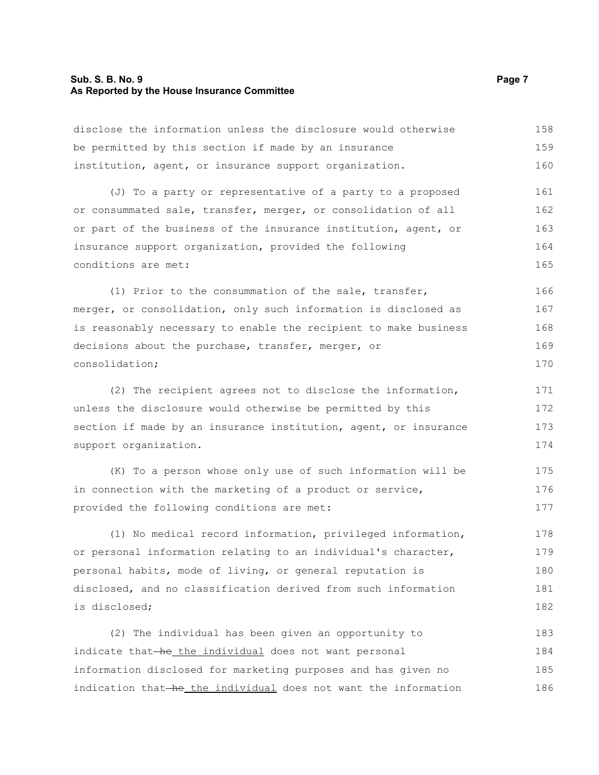#### **Sub. S. B. No. 9 Page 7 As Reported by the House Insurance Committee**

disclose the information unless the disclosure would otherwise be permitted by this section if made by an insurance institution, agent, or insurance support organization. 158 159 160

(J) To a party or representative of a party to a proposed or consummated sale, transfer, merger, or consolidation of all or part of the business of the insurance institution, agent, or insurance support organization, provided the following conditions are met: 161 162 163 164 165

(1) Prior to the consummation of the sale, transfer, merger, or consolidation, only such information is disclosed as is reasonably necessary to enable the recipient to make business decisions about the purchase, transfer, merger, or consolidation; 166 167 168 169 170

(2) The recipient agrees not to disclose the information, unless the disclosure would otherwise be permitted by this section if made by an insurance institution, agent, or insurance support organization. 171 172 173 174

(K) To a person whose only use of such information will be in connection with the marketing of a product or service, provided the following conditions are met: 175 176 177

(1) No medical record information, privileged information, or personal information relating to an individual's character, personal habits, mode of living, or general reputation is disclosed, and no classification derived from such information is disclosed; 178 179 180 181 182

(2) The individual has been given an opportunity to indicate that-he the individual does not want personal information disclosed for marketing purposes and has given no indication that-he the individual does not want the information 183 184 185 186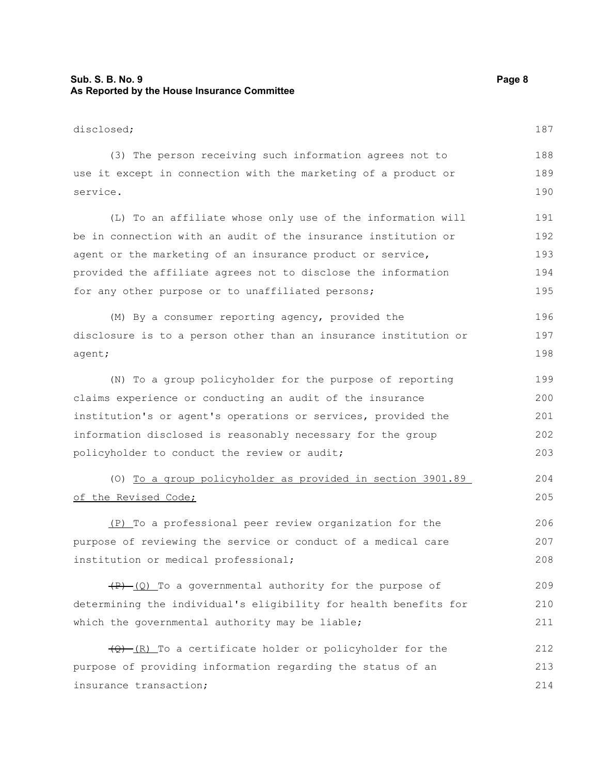### **Sub. S. B. No. 9 Page 8 As Reported by the House Insurance Committee**

| disclosed;                                                        | 187 |
|-------------------------------------------------------------------|-----|
| (3) The person receiving such information agrees not to           | 188 |
| use it except in connection with the marketing of a product or    | 189 |
| service.                                                          | 190 |
| (L) To an affiliate whose only use of the information will        | 191 |
| be in connection with an audit of the insurance institution or    | 192 |
| agent or the marketing of an insurance product or service,        | 193 |
| provided the affiliate agrees not to disclose the information     | 194 |
| for any other purpose or to unaffiliated persons;                 | 195 |
| (M) By a consumer reporting agency, provided the                  | 196 |
| disclosure is to a person other than an insurance institution or  | 197 |
| agent;                                                            | 198 |
| (N) To a group policyholder for the purpose of reporting          | 199 |
| claims experience or conducting an audit of the insurance         | 200 |
| institution's or agent's operations or services, provided the     | 201 |
| information disclosed is reasonably necessary for the group       | 202 |
| policyholder to conduct the review or audit;                      | 203 |
| (0) To a group policyholder as provided in section 3901.89        | 204 |
| of the Revised Code;                                              | 205 |
| (P) To a professional peer review organization for the            | 206 |
| purpose of reviewing the service or conduct of a medical care     | 207 |
| institution or medical professional;                              | 208 |
| $(P)$ (Q) To a governmental authority for the purpose of          | 209 |
| determining the individual's eligibility for health benefits for  | 210 |
| which the governmental authority may be liable;                   | 211 |
| $\frac{1}{2}$ (R) To a certificate holder or policyholder for the | 212 |
| purpose of providing information regarding the status of an       | 213 |
| insurance transaction;                                            | 214 |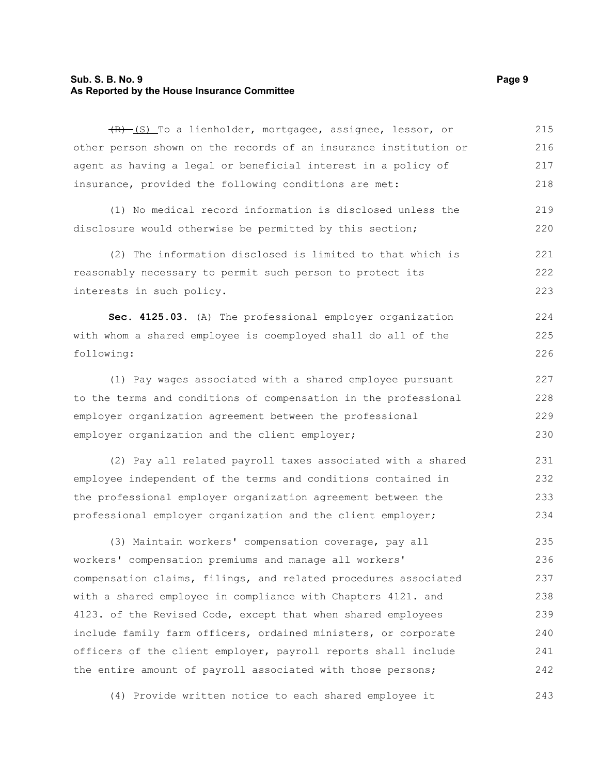#### **Sub. S. B. No. 9 Page 9 As Reported by the House Insurance Committee**

(R) (S) To a lienholder, mortgagee, assignee, lessor, or other person shown on the records of an insurance institution or agent as having a legal or beneficial interest in a policy of insurance, provided the following conditions are met: 215 216 217 218

(1) No medical record information is disclosed unless the disclosure would otherwise be permitted by this section; 219 220

(2) The information disclosed is limited to that which is reasonably necessary to permit such person to protect its interests in such policy. 221 222 223

**Sec. 4125.03.** (A) The professional employer organization with whom a shared employee is coemployed shall do all of the following: 224 225 226

(1) Pay wages associated with a shared employee pursuant to the terms and conditions of compensation in the professional employer organization agreement between the professional employer organization and the client employer; 227 228 229 230

(2) Pay all related payroll taxes associated with a shared employee independent of the terms and conditions contained in the professional employer organization agreement between the professional employer organization and the client employer; 231 232 233 234

(3) Maintain workers' compensation coverage, pay all workers' compensation premiums and manage all workers' compensation claims, filings, and related procedures associated with a shared employee in compliance with Chapters 4121. and 4123. of the Revised Code, except that when shared employees include family farm officers, ordained ministers, or corporate officers of the client employer, payroll reports shall include the entire amount of payroll associated with those persons; 235 236 237 238 239 240 241 242

(4) Provide written notice to each shared employee it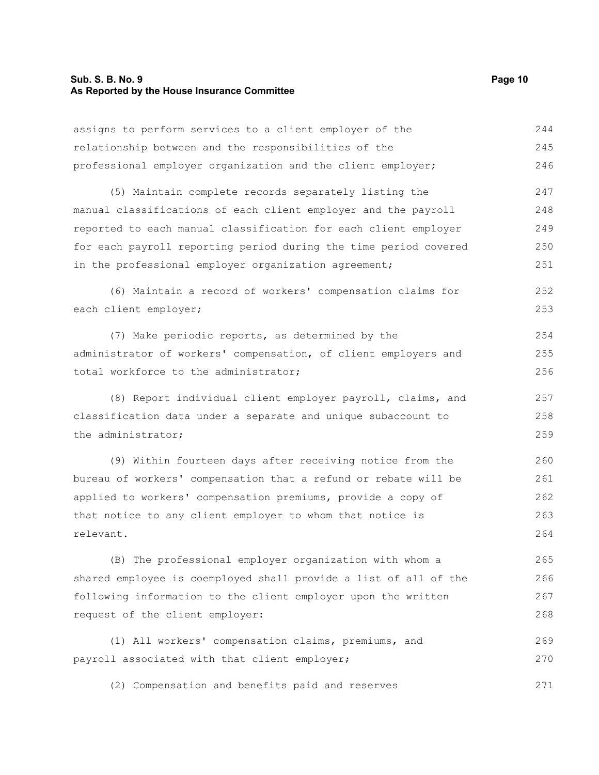### **Sub. S. B. No. 9 Page 10 As Reported by the House Insurance Committee**

| assigns to perform services to a client employer of the          | 244 |
|------------------------------------------------------------------|-----|
| relationship between and the responsibilities of the             | 245 |
| professional employer organization and the client employer;      | 246 |
| (5) Maintain complete records separately listing the             | 247 |
| manual classifications of each client employer and the payroll   | 248 |
| reported to each manual classification for each client employer  | 249 |
| for each payroll reporting period during the time period covered | 250 |
| in the professional employer organization agreement;             | 251 |
| (6) Maintain a record of workers' compensation claims for        | 252 |
| each client employer;                                            | 253 |
| (7) Make periodic reports, as determined by the                  | 254 |
| administrator of workers' compensation, of client employers and  | 255 |
| total workforce to the administrator;                            | 256 |
| (8) Report individual client employer payroll, claims, and       | 257 |
| classification data under a separate and unique subaccount to    | 258 |
| the administrator;                                               | 259 |
| (9) Within fourteen days after receiving notice from the         | 260 |
| bureau of workers' compensation that a refund or rebate will be  | 261 |
| applied to workers' compensation premiums, provide a copy of     | 262 |
| that notice to any client employer to whom that notice is        | 263 |
| relevant.                                                        | 264 |
| (B) The professional employer organization with whom a           | 265 |
| shared employee is coemployed shall provide a list of all of the | 266 |
| following information to the client employer upon the written    | 267 |
| request of the client employer:                                  | 268 |
| (1) All workers' compensation claims, premiums, and              | 269 |
| payroll associated with that client employer;                    | 270 |
| (2) Compensation and benefits paid and reserves                  | 271 |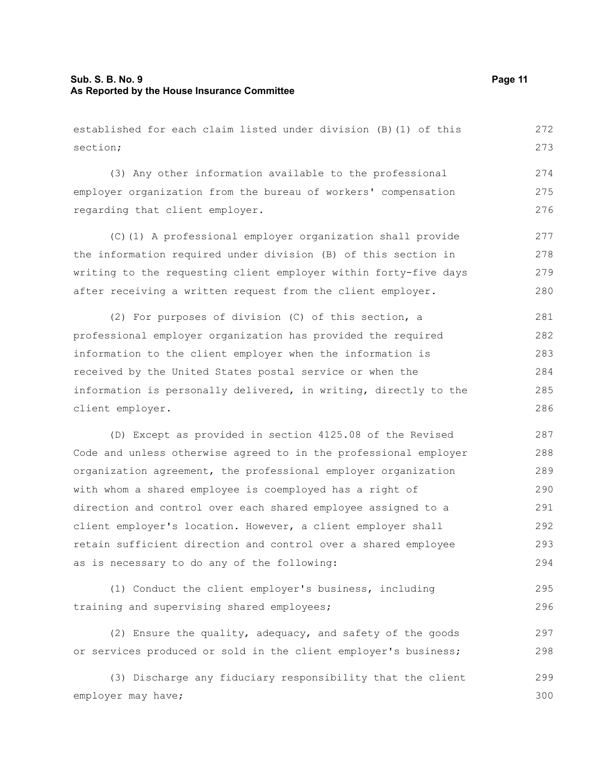#### **Sub. S. B. No. 9 Page 11 As Reported by the House Insurance Committee**

established for each claim listed under division (B)(1) of this section;

(3) Any other information available to the professional employer organization from the bureau of workers' compensation regarding that client employer.

(C)(1) A professional employer organization shall provide the information required under division (B) of this section in writing to the requesting client employer within forty-five days after receiving a written request from the client employer. 277 278 279 280

(2) For purposes of division (C) of this section, a professional employer organization has provided the required information to the client employer when the information is received by the United States postal service or when the information is personally delivered, in writing, directly to the client employer. 281 282 283 284 285 286

(D) Except as provided in section 4125.08 of the Revised Code and unless otherwise agreed to in the professional employer organization agreement, the professional employer organization with whom a shared employee is coemployed has a right of direction and control over each shared employee assigned to a client employer's location. However, a client employer shall retain sufficient direction and control over a shared employee as is necessary to do any of the following: 287 288 289 290 291 292 293 294

```
(1) Conduct the client employer's business, including
training and supervising shared employees;
                                                                            295
                                                                            296
```
(2) Ensure the quality, adequacy, and safety of the goods or services produced or sold in the client employer's business; 297 298

(3) Discharge any fiduciary responsibility that the client employer may have; 299 300

272 273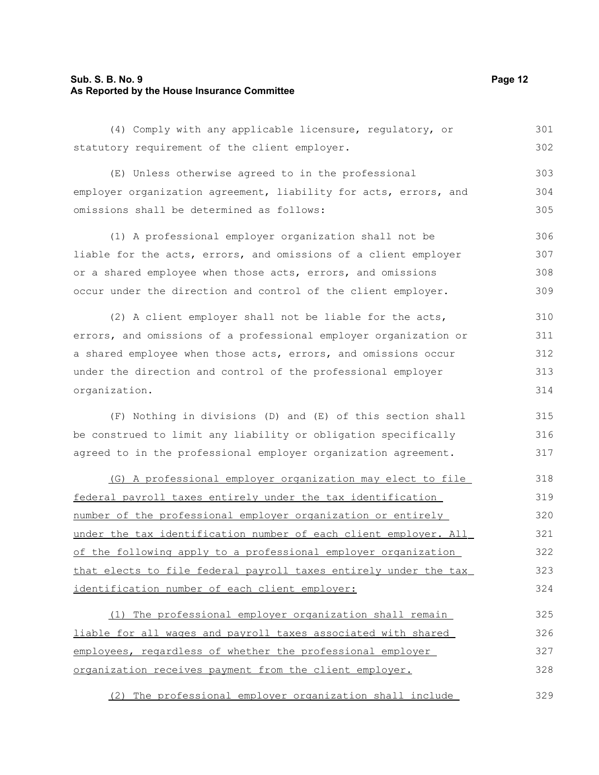#### **Sub. S. B. No. 9 Page 12 As Reported by the House Insurance Committee**

(4) Comply with any applicable licensure, regulatory, or statutory requirement of the client employer. 301 302

(E) Unless otherwise agreed to in the professional employer organization agreement, liability for acts, errors, and omissions shall be determined as follows: 303 304 305

(1) A professional employer organization shall not be liable for the acts, errors, and omissions of a client employer or a shared employee when those acts, errors, and omissions occur under the direction and control of the client employer. 306 307 308 309

(2) A client employer shall not be liable for the acts, errors, and omissions of a professional employer organization or a shared employee when those acts, errors, and omissions occur under the direction and control of the professional employer organization. 310 311 312 313 314

(F) Nothing in divisions (D) and (E) of this section shall be construed to limit any liability or obligation specifically agreed to in the professional employer organization agreement. 315 316 317

 (G) A professional employer organization may elect to file federal payroll taxes entirely under the tax identification number of the professional employer organization or entirely under the tax identification number of each client employer. All of the following apply to a professional employer organization that elects to file federal payroll taxes entirely under the tax identification number of each client employer: 318 319 320 321 322 323 324

 (1) The professional employer organization shall remain liable for all wages and payroll taxes associated with shared employees, regardless of whether the professional employer organization receives payment from the client employer. 325 326 327 328

 (2) The professional employer organization shall include 329